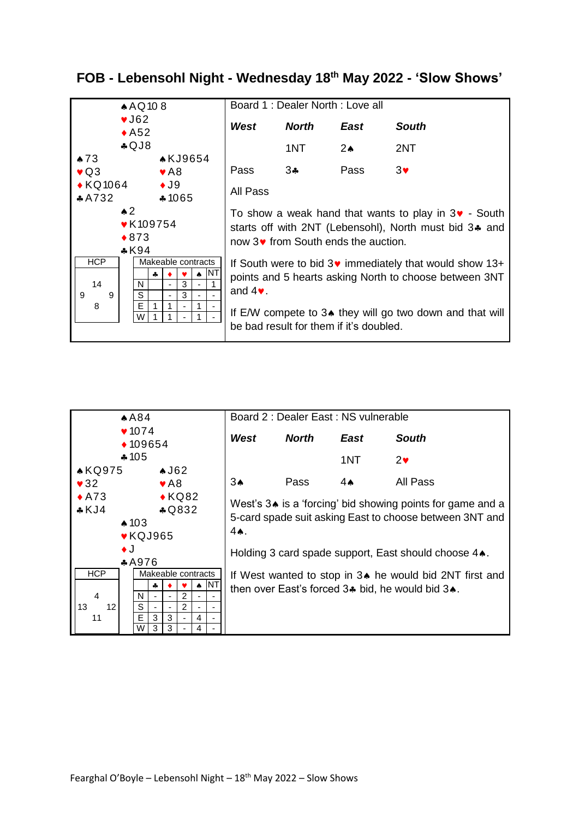

## $A84$  $10 - 1$  $\triangle$  109654  $*105$ **AKQ975**  $\bullet$ J62 Board 2 : Dealer East : NS vulnerable *West North East South* 1NT  $2\bullet$

| 7074<br>◆ 109654                                                                                                                      |                    |                          |                                                                                                                                                                                       | West | <b>North</b>       | <b>East</b>                                             | <b>South</b> |                |                                                |
|---------------------------------------------------------------------------------------------------------------------------------------|--------------------|--------------------------|---------------------------------------------------------------------------------------------------------------------------------------------------------------------------------------|------|--------------------|---------------------------------------------------------|--------------|----------------|------------------------------------------------|
|                                                                                                                                       | $*105$             |                          |                                                                                                                                                                                       |      |                    |                                                         | 1NT          | $2\bullet$     |                                                |
| <b>AKQ975</b>                                                                                                                         |                    | $\triangle$ J62          |                                                                                                                                                                                       |      |                    |                                                         |              |                |                                                |
| $\sqrt{32}$                                                                                                                           |                    | $\blacktriangleright$ A8 |                                                                                                                                                                                       |      |                    | 3 <sub>•</sub>                                          | Pass         | $4 \spadesuit$ | All Pass                                       |
| $\triangle$ KQ82<br>$\triangle$ A73<br>$*KJ4$<br>\$Q832<br>$\triangle$ 103<br>$\blacktriangleright$ KQJ965<br>$\bullet$ J<br>$*$ A976 |                    |                          | West's 3. is a 'forcing' bid showing points for game and a<br>5-card spade suit asking East to choose between 3NT and<br>$4$ A.<br>Holding 3 card spade support, East should choose 4 |      |                    |                                                         |              |                |                                                |
| <b>HCP</b>                                                                                                                            | Makeable contracts |                          |                                                                                                                                                                                       |      |                    | If West wanted to stop in 3. he would bid 2NT first and |              |                |                                                |
|                                                                                                                                       | 4                  |                          |                                                                                                                                                                                       |      | $\blacksquare$ INT |                                                         |              |                | then over East's forced 3. bid, he would bid 3 |
| $\overline{4}$                                                                                                                        | N                  |                          | $\overline{2}$                                                                                                                                                                        |      |                    |                                                         |              |                |                                                |
| 13<br>12 <sup>2</sup>                                                                                                                 | S                  |                          | $\overline{2}$                                                                                                                                                                        |      |                    |                                                         |              |                |                                                |
| 11                                                                                                                                    | E<br>3             | 3                        |                                                                                                                                                                                       | 4    |                    |                                                         |              |                |                                                |
|                                                                                                                                       | W                  | 3                        |                                                                                                                                                                                       | 4    |                    |                                                         |              |                |                                                |

## **FOB - Lebensohl Night - Wednesday 18th May 2022 - 'Slow Shows'**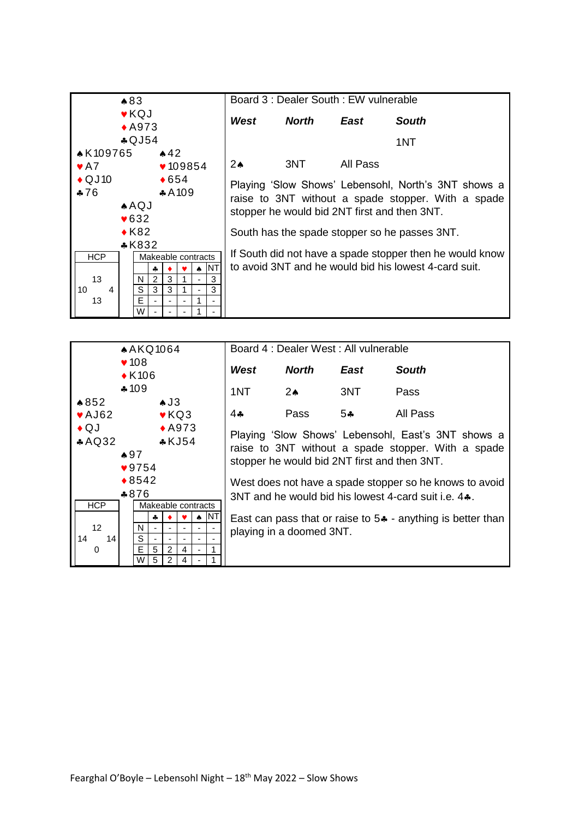

| A KQ1064                                                                                             |        |        |   |                                                                                                                                                          | Board 4 : Dealer West : All vulnerable                                                                        |               |               |                          |              |                                                               |
|------------------------------------------------------------------------------------------------------|--------|--------|---|----------------------------------------------------------------------------------------------------------------------------------------------------------|---------------------------------------------------------------------------------------------------------------|---------------|---------------|--------------------------|--------------|---------------------------------------------------------------|
| $\blacktriangledown$ 108<br>$\triangle$ K106                                                         |        |        |   |                                                                                                                                                          |                                                                                                               | West          | <b>North</b>  | East                     | <b>South</b> |                                                               |
|                                                                                                      | $*109$ |        |   |                                                                                                                                                          | 1NT                                                                                                           | $2 \star$     | 3NT           | Pass                     |              |                                                               |
| $*852$                                                                                               |        |        |   | $\triangle$ J3                                                                                                                                           |                                                                                                               |               |               |                          |              |                                                               |
| $\blacktriangleright$ AJ62                                                                           |        |        |   |                                                                                                                                                          | $\blacktriangleright$ KQ3                                                                                     |               | 4 $\clubsuit$ | Pass                     | $5 -$        | All Pass                                                      |
| $\triangle$ QJ<br>$\triangle$ A973<br>AQQ32<br>$*KJ54$<br>$\clubsuit 97$<br>$\sqrt{9754}$<br>$*8542$ |        |        |   | Playing 'Slow Shows' Lebensohl, East's 3NT shows a<br>raise to 3NT without a spade stopper. With a spade<br>stopper he would bid 2NT first and then 3NT. |                                                                                                               |               |               |                          |              |                                                               |
|                                                                                                      | $*876$ |        |   |                                                                                                                                                          | West does not have a spade stopper so he knows to avoid<br>3NT and he would bid his lowest 4-card suit i.e. 4 |               |               |                          |              |                                                               |
| <b>HCP</b>                                                                                           |        |        |   |                                                                                                                                                          | Makeable contracts                                                                                            |               |               |                          |              |                                                               |
|                                                                                                      |        |        | 4 |                                                                                                                                                          |                                                                                                               | $\bullet$ INT |               |                          |              | East can pass that or raise to $5*$ - anything is better than |
| 12 <sup>2</sup>                                                                                      |        | N      |   |                                                                                                                                                          |                                                                                                               |               |               | playing in a doomed 3NT. |              |                                                               |
| 14<br>14<br>0                                                                                        |        | S<br>E | 5 | 2                                                                                                                                                        | 4                                                                                                             |               |               |                          |              |                                                               |
|                                                                                                      |        | W      | 5 | $\overline{2}$                                                                                                                                           | 4                                                                                                             |               |               |                          |              |                                                               |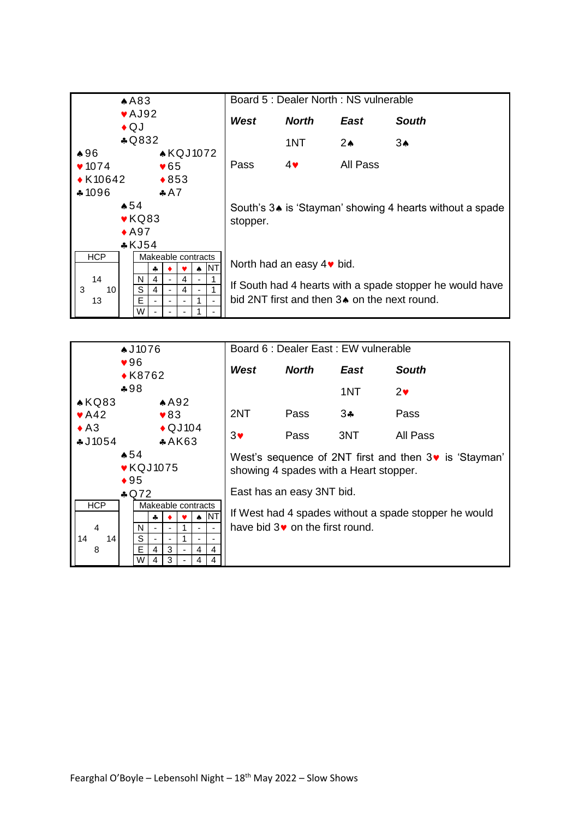

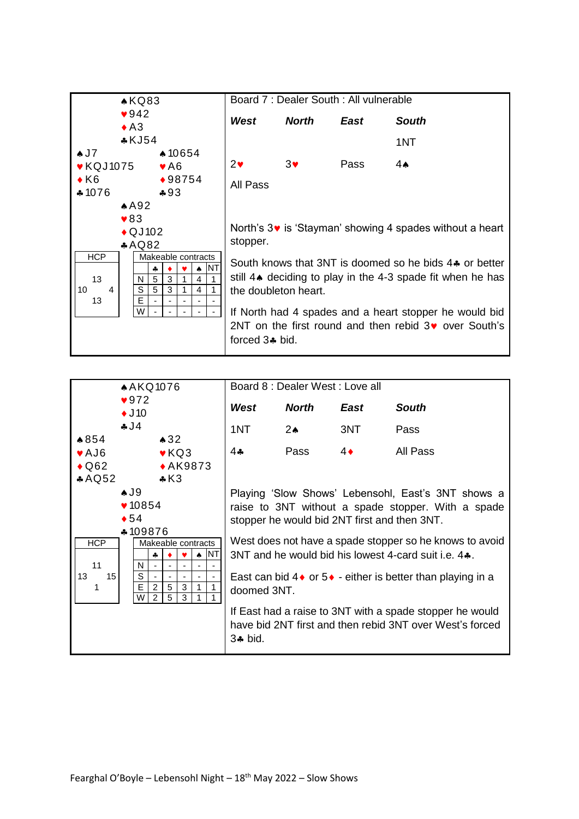

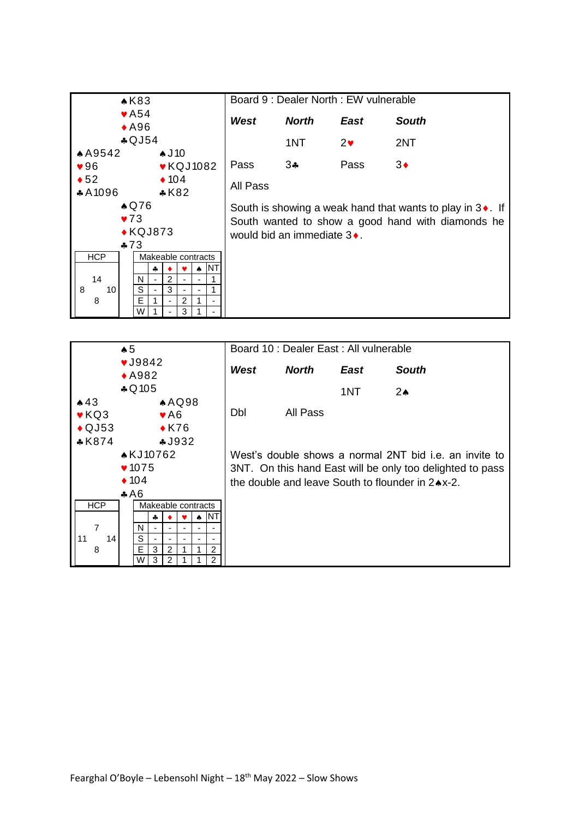| $\triangle$ K83                                          |                                                                    | Board 9 : Dealer North : EW vulnerable |             |              |  |
|----------------------------------------------------------|--------------------------------------------------------------------|----------------------------------------|-------------|--------------|--|
| $\blacktriangleright$ A54<br>$*$ A96                     | West                                                               | <b>North</b>                           | <b>East</b> | <b>South</b> |  |
| $\clubsuit$ QJ54                                         |                                                                    | 1NT                                    | $2\bullet$  | 2NT          |  |
| A9542<br>$\clubsuit$ J10                                 |                                                                    |                                        |             |              |  |
| $\blacktriangleright$ KQJ1082<br>$\blacktriangledown 96$ | Pass                                                               | $3 -$                                  | Pass        | $3\bullet$   |  |
| $\triangleleft 52$<br>$\triangle$ 104                    | All Pass                                                           |                                        |             |              |  |
| $*A1096$<br>$*K82$                                       |                                                                    |                                        |             |              |  |
| $\triangle$ Q76                                          | South is showing a weak hand that wants to play in $3\bullet$ . If |                                        |             |              |  |
| $\blacktriangledown$ 73                                  | South wanted to show a good hand with diamonds he                  |                                        |             |              |  |
| $\triangle$ KQJ873                                       | would bid an immediate 3♦.                                         |                                        |             |              |  |
| $*73$                                                    |                                                                    |                                        |             |              |  |
| <b>HCP</b><br>Makeable contracts                         |                                                                    |                                        |             |              |  |
| <b>NT</b><br>4<br>₳                                      |                                                                    |                                        |             |              |  |
| 14<br>2<br>N                                             |                                                                    |                                        |             |              |  |
| S<br>3<br>8<br>10<br>$\overline{\phantom{a}}$            |                                                                    |                                        |             |              |  |
| E<br>8<br>2                                              |                                                                    |                                        |             |              |  |
| W                                                        |                                                                    |                                        |             |              |  |

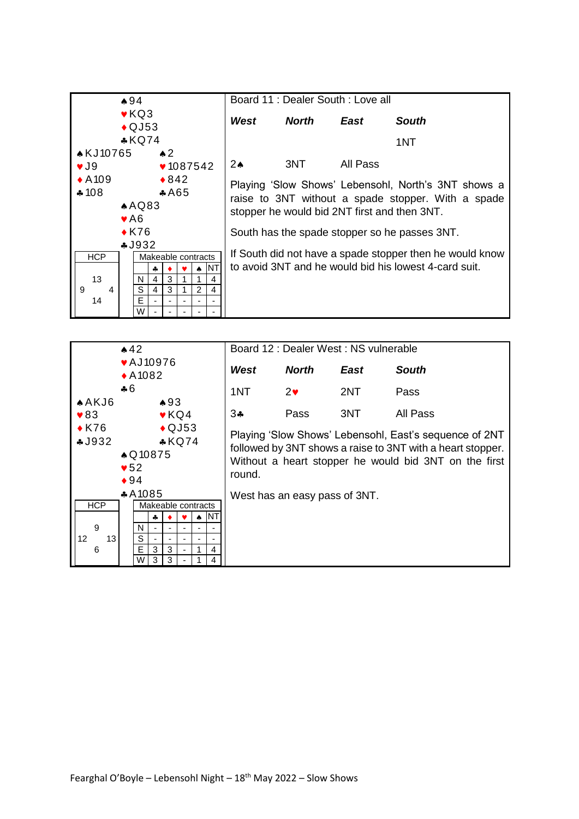

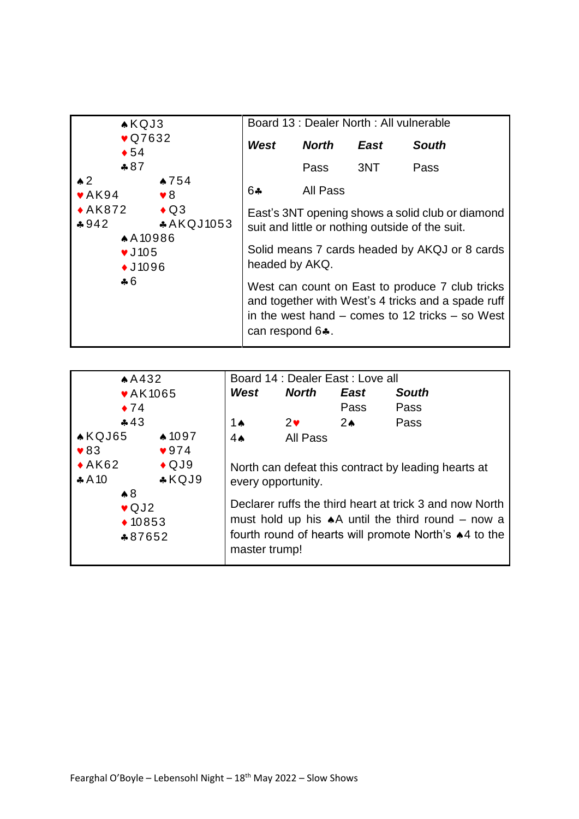|                                                                                                       | $\triangle$ KQJ3<br>$\sqrt{Q7632}$<br>$\bullet 54$ |                                     | Board 13 : Dealer North : All vulnerable |             |                                                                                                                                                                                                                                                                                                                      |  |  |  |
|-------------------------------------------------------------------------------------------------------|----------------------------------------------------|-------------------------------------|------------------------------------------|-------------|----------------------------------------------------------------------------------------------------------------------------------------------------------------------------------------------------------------------------------------------------------------------------------------------------------------------|--|--|--|
|                                                                                                       |                                                    |                                     | <b>North</b>                             | <b>East</b> | <b>South</b>                                                                                                                                                                                                                                                                                                         |  |  |  |
| $*87$                                                                                                 |                                                    |                                     | Pass                                     | 3NT         | Pass                                                                                                                                                                                                                                                                                                                 |  |  |  |
| $\triangle$ 2<br>$\blacktriangleright$ AK94                                                           | $*754$<br>$\triangledown 8$                        | 64                                  | All Pass                                 |             |                                                                                                                                                                                                                                                                                                                      |  |  |  |
| $\triangle$ AK872 $\triangle$ Q3<br>$*942$<br>$\blacktriangledown$ J 105<br>$\triangle$ J1096<br>$+6$ | <b>*AKQJ1053</b><br><b>AA10986</b>                 | headed by AKQ.<br>can respond $6$ . |                                          |             | East's 3NT opening shows a solid club or diamond<br>suit and little or nothing outside of the suit.<br>Solid means 7 cards headed by AKQJ or 8 cards<br>West can count on East to produce 7 club tricks<br>and together with West's 4 tricks and a spade ruff<br>in the west hand $-$ comes to 12 tricks $-$ so West |  |  |  |

| AA432                                                                                                                                                                                    |               | Board 14 : Dealer East : Love all                      |                |                                                                                                                                                                                                                                       |  |  |
|------------------------------------------------------------------------------------------------------------------------------------------------------------------------------------------|---------------|--------------------------------------------------------|----------------|---------------------------------------------------------------------------------------------------------------------------------------------------------------------------------------------------------------------------------------|--|--|
| <b>vAK1065</b>                                                                                                                                                                           | West          | North                                                  | East           | <b>South</b>                                                                                                                                                                                                                          |  |  |
| $\bullet$ 74                                                                                                                                                                             |               |                                                        | Pass           | Pass                                                                                                                                                                                                                                  |  |  |
| 43                                                                                                                                                                                       | 1 $\triangle$ | $2\bullet$                                             | 2 <sub>o</sub> | Pass                                                                                                                                                                                                                                  |  |  |
| $\triangle$ KQJ65<br>$\clubsuit$ 1097<br>$\blacktriangledown 83$<br>$\sqrt{974}$<br>$*AK62$<br>$\triangle$ QJ9<br>$*KQJ9$<br>$*A10$<br>$\clubsuit 8$<br>$\vee$ QJ2<br>$*10853$<br>*87652 | $4\spadesuit$ | <b>All Pass</b><br>every opportunity.<br>master trump! |                | North can defeat this contract by leading hearts at<br>Declarer ruffs the third heart at trick 3 and now North<br>must hold up his $\star$ A until the third round – now a<br>fourth round of hearts will promote North's $*4$ to the |  |  |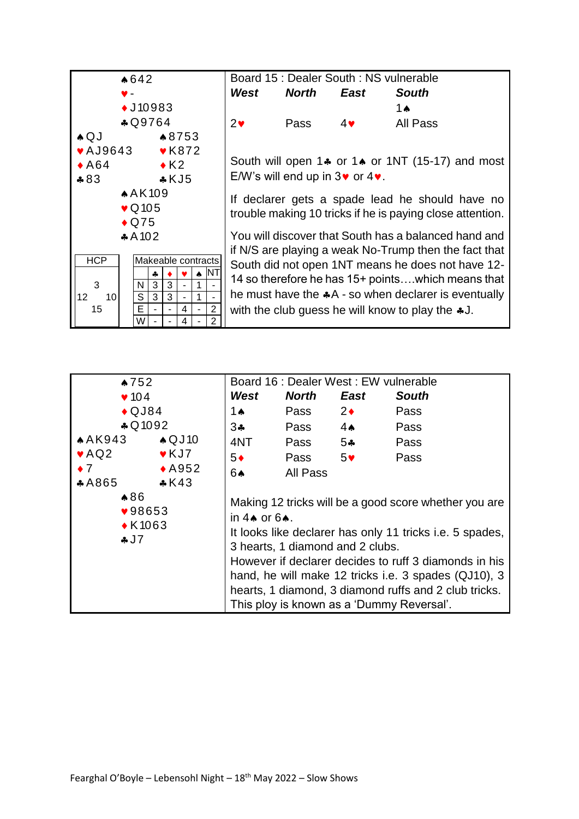

| $\bullet 752$             |                          | Board 16 : Dealer West : EW vulnerable                   |              |                |              |  |
|---------------------------|--------------------------|----------------------------------------------------------|--------------|----------------|--------------|--|
| $\blacktriangledown$ 104  |                          | West                                                     | <b>North</b> | East           | <b>South</b> |  |
| $\bigstar$ QJ84           |                          | 1 $\triangle$                                            | Pass         | $2\bullet$     | Pass         |  |
|                           | $\clubsuit$ Q 1092       | $3 +$                                                    | Pass         | $4 \spadesuit$ | Pass         |  |
| AAK943                    | $\triangle$ QJ10         | 4NT                                                      | Pass         | $5 -$          | Pass         |  |
| $\blacktriangleright$ AQ2 | $\blacktriangledown$ KJ7 | $5*$                                                     | Pass         | 5 <sup>4</sup> | Pass         |  |
| $\bullet$ 7               | $\triangle$ A952         | 6♠                                                       |              |                |              |  |
| $*A865$                   | $*K43$                   |                                                          |              |                |              |  |
| $*86$                     |                          | Making 12 tricks will be a good score whether you are    |              |                |              |  |
|                           | ♥98653                   | in $4 \spadesuit$ or $6 \spadesuit$ .                    |              |                |              |  |
| $\triangle$ K1063         |                          | It looks like declarer has only 11 tricks i.e. 5 spades, |              |                |              |  |
| J7                        |                          | 3 hearts, 1 diamond and 2 clubs.                         |              |                |              |  |
|                           |                          | However if declarer decides to ruff 3 diamonds in his    |              |                |              |  |
|                           |                          | hand, he will make 12 tricks i.e. 3 spades (QJ10), 3     |              |                |              |  |
|                           |                          | hearts, 1 diamond, 3 diamond ruffs and 2 club tricks.    |              |                |              |  |
|                           |                          | This ploy is known as a 'Dummy Reversal'.                |              |                |              |  |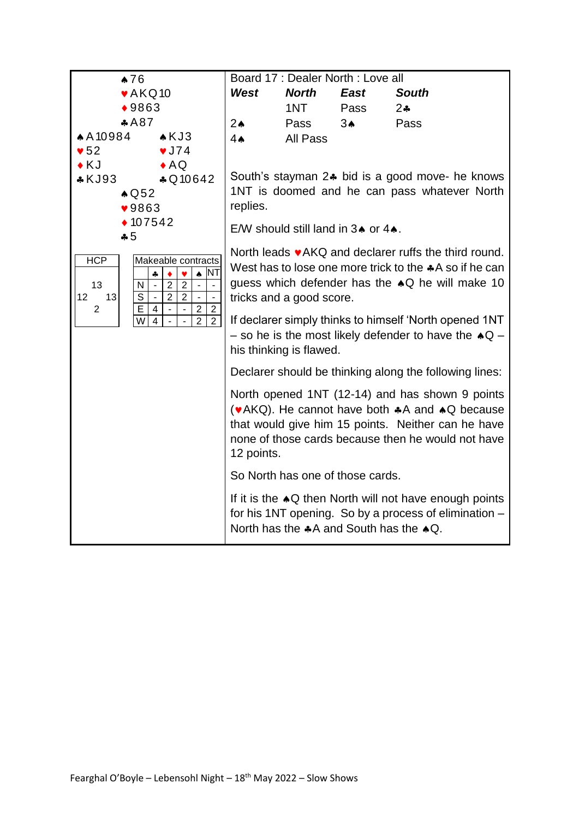| $\clubsuit$ 76                                                   |                                                                                                                       |                                                                                                                 | Board 17 : Dealer North : Love all |                |                                                                                                 |  |  |
|------------------------------------------------------------------|-----------------------------------------------------------------------------------------------------------------------|-----------------------------------------------------------------------------------------------------------------|------------------------------------|----------------|-------------------------------------------------------------------------------------------------|--|--|
| $\blacktriangleright$ AKQ10                                      |                                                                                                                       | West                                                                                                            | <b>North</b>                       | East           | <b>South</b>                                                                                    |  |  |
| $*9863$                                                          |                                                                                                                       |                                                                                                                 | 1NT <sub>2</sub>                   | Pass           | $2\clubsuit$                                                                                    |  |  |
| A87                                                              |                                                                                                                       | $2\spadesuit$                                                                                                   | Pass                               | 3 <sub>•</sub> | Pass                                                                                            |  |  |
| $A$ A 10984                                                      | $\triangle$ KJ3                                                                                                       | 4A                                                                                                              | All Pass                           |                |                                                                                                 |  |  |
| $\blacktriangledown$ 52                                          | $\sqrt{J74}$                                                                                                          |                                                                                                                 |                                    |                |                                                                                                 |  |  |
| $\blacklozenge$ KJ                                               | $\triangle AQ$                                                                                                        |                                                                                                                 |                                    |                |                                                                                                 |  |  |
| $*KJ93$                                                          | \$Q10642                                                                                                              |                                                                                                                 |                                    |                | South's stayman 2. bid is a good move- he knows<br>1NT is doomed and he can pass whatever North |  |  |
| $\triangle$ Q52<br>$\blacktriangledown$ 9863                     |                                                                                                                       | replies.                                                                                                        |                                    |                |                                                                                                 |  |  |
| $*107542$                                                        |                                                                                                                       |                                                                                                                 |                                    |                |                                                                                                 |  |  |
| $-5$                                                             |                                                                                                                       |                                                                                                                 | E/W should still land in 34 or 44. |                |                                                                                                 |  |  |
|                                                                  |                                                                                                                       |                                                                                                                 |                                    |                |                                                                                                 |  |  |
| <b>HCP</b>                                                       | Makeable contracts                                                                                                    | North leads vAKQ and declarer ruffs the third round.<br>West has to lose one more trick to the $A$ so if he can |                                    |                |                                                                                                 |  |  |
| 13                                                               | <b>NT</b><br>$\spadesuit$<br>$\clubsuit$<br>v<br>$\overline{2}$<br>$\overline{2}$<br>$\blacksquare$<br>$\blacksquare$ | guess which defender has the $\triangle Q$ he will make 10                                                      |                                    |                |                                                                                                 |  |  |
| $\mathsf{N}$<br>$\overline{\mathsf{s}}$<br>12 <sup>2</sup><br>13 | $\blacksquare$<br>$\overline{2}$<br>$\overline{2}$<br>$\Box$<br>$\sim$<br>$\overline{\phantom{a}}$                    |                                                                                                                 | tricks and a good score.           |                |                                                                                                 |  |  |
| $\boldsymbol{2}$<br>E                                            | $\sqrt{2}$<br>$\sqrt{2}$<br>$\overline{4}$<br>$\overline{\phantom{a}}$<br>$\blacksquare$                              |                                                                                                                 |                                    |                |                                                                                                 |  |  |
| $\overline{\mathsf{W}}$                                          | $\overline{2}$<br>$\overline{2}$<br>$\overline{4}$<br>$\mathbf{u}$                                                    |                                                                                                                 |                                    |                | If declarer simply thinks to himself 'North opened 1NT                                          |  |  |
|                                                                  |                                                                                                                       |                                                                                                                 |                                    |                | - so he is the most likely defender to have the $\triangle Q$ -                                 |  |  |
|                                                                  |                                                                                                                       |                                                                                                                 | his thinking is flawed.            |                |                                                                                                 |  |  |
|                                                                  |                                                                                                                       |                                                                                                                 |                                    |                | Declarer should be thinking along the following lines:                                          |  |  |
|                                                                  |                                                                                                                       |                                                                                                                 |                                    |                | North opened 1NT (12-14) and has shown 9 points                                                 |  |  |
|                                                                  |                                                                                                                       |                                                                                                                 |                                    |                | (vAKQ). He cannot have both $*A$ and $AQ$ because                                               |  |  |
|                                                                  |                                                                                                                       |                                                                                                                 |                                    |                | that would give him 15 points. Neither can he have                                              |  |  |
|                                                                  |                                                                                                                       |                                                                                                                 |                                    |                | none of those cards because then he would not have                                              |  |  |
|                                                                  |                                                                                                                       | 12 points.                                                                                                      |                                    |                |                                                                                                 |  |  |
|                                                                  |                                                                                                                       |                                                                                                                 | So North has one of those cards.   |                |                                                                                                 |  |  |
|                                                                  |                                                                                                                       |                                                                                                                 |                                    |                | If it is the $\triangle Q$ then North will not have enough points                               |  |  |
|                                                                  |                                                                                                                       |                                                                                                                 |                                    |                | for his 1NT opening. So by a process of elimination -                                           |  |  |
|                                                                  |                                                                                                                       |                                                                                                                 |                                    |                | North has the $A$ and South has the $A$ Q.                                                      |  |  |
|                                                                  |                                                                                                                       |                                                                                                                 |                                    |                |                                                                                                 |  |  |